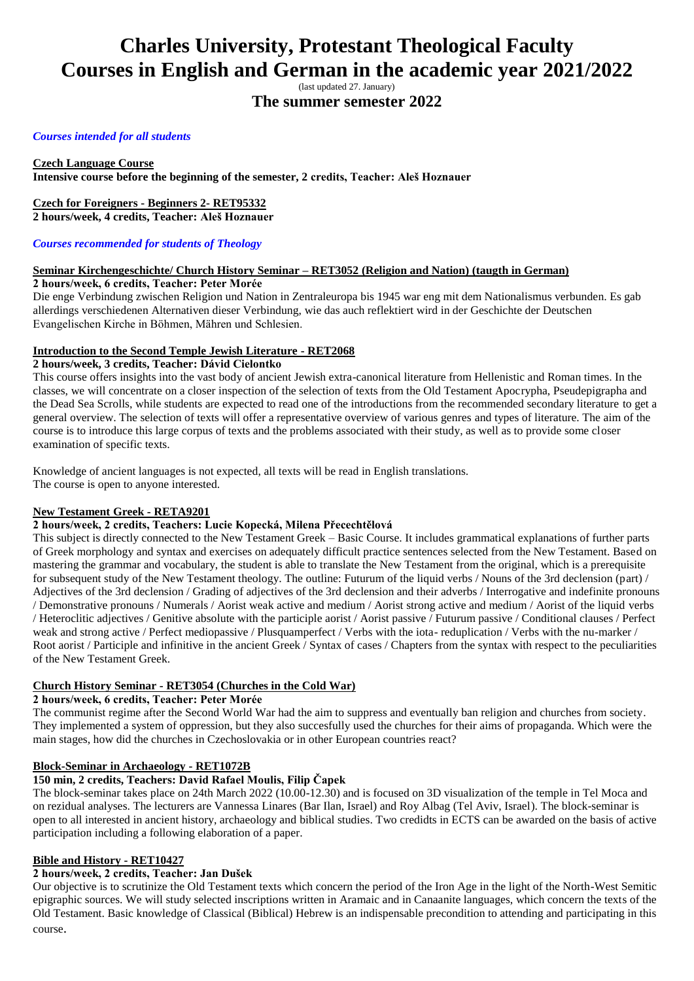# **Charles University, Protestant Theological Faculty Courses in English and German in the academic year 2021/2022**

(last updated 27. January)

**The summer semester 2022**

## *Courses intended for all students*

# **Czech Language Course**

**Intensive course before the beginning of the semester, 2 credits, Teacher: Aleš Hoznauer**

# **Czech for Foreigners - Beginners 2- RET95332**

**2 hours/week, 4 credits, Teacher: Aleš Hoznauer**

## *Courses recommended for students of Theology*

#### **Seminar Kirchengeschichte/ Church History Seminar – RET3052 (Religion and Nation) (taugth in German) 2 hours/week, 6 credits, Teacher: Peter Morée**

Die enge Verbindung zwischen Religion und Nation in Zentraleuropa bis 1945 war eng mit dem Nationalismus verbunden. Es gab allerdings verschiedenen Alternativen dieser Verbindung, wie das auch reflektiert wird in der Geschichte der Deutschen Evangelischen Kirche in Böhmen, Mähren und Schlesien.

## **Introduction to the Second Temple Jewish Literature - RET2068**

### **2 hours/week, 3 credits, Teacher: Dávid Cielontko**

This course offers insights into the vast body of ancient Jewish extra-canonical literature from Hellenistic and Roman times. In the classes, we will concentrate on a closer inspection of the selection of texts from the Old Testament Apocrypha, Pseudepigrapha and the Dead Sea Scrolls, while students are expected to read one of the introductions from the recommended secondary literature to get a general overview. The selection of texts will offer a representative overview of various genres and types of literature. The aim of the course is to introduce this large corpus of texts and the problems associated with their study, as well as to provide some closer examination of specific texts.

Knowledge of ancient languages is not expected, all texts will be read in English translations. The course is open to anyone interested.

#### **New Testament Greek - RETA9201**

#### **2 hours/week, 2 credits, Teachers: Lucie Kopecká, Milena Přecechtělová**

This subject is directly connected to the New Testament Greek – Basic Course. It includes grammatical explanations of further parts of Greek morphology and syntax and exercises on adequately difficult practice sentences selected from the New Testament. Based on mastering the grammar and vocabulary, the student is able to translate the New Testament from the original, which is a prerequisite for subsequent study of the New Testament theology. The outline: Futurum of the liquid verbs / Nouns of the 3rd declension (part) / Adjectives of the 3rd declension / Grading of adjectives of the 3rd declension and their adverbs / Interrogative and indefinite pronouns / Demonstrative pronouns / Numerals / Aorist weak active and medium / Aorist strong active and medium / Aorist of the liquid verbs / Heteroclitic adjectives / Genitive absolute with the participle aorist / Aorist passive / Futurum passive / Conditional clauses / Perfect weak and strong active / Perfect mediopassive / Plusquamperfect / Verbs with the iota- reduplication / Verbs with the nu-marker / Root aorist / Participle and infinitive in the ancient Greek / Syntax of cases / Chapters from the syntax with respect to the peculiarities of the New Testament Greek.

#### **Church History Seminar - RET3054 (Churches in the Cold War)**

#### **2 hours/week, 6 credits, Teacher: Peter Morée**

The communist regime after the Second World War had the aim to suppress and eventually ban religion and churches from society. They implemented a system of oppression, but they also succesfully used the churches for their aims of propaganda. Which were the main stages, how did the churches in Czechoslovakia or in other European countries react?

#### **Block-Seminar in Archaeology - RET1072B**

## **150 min, 2 credits, Teachers: David Rafael Moulis, Filip Čapek**

The block-seminar takes place on 24th March 2022 (10.00-12.30) and is focused on 3D visualization of the temple in Tel Moca and on rezidual analyses. The lecturers are Vannessa Linares (Bar Ilan, Israel) and Roy Albag (Tel Aviv, Israel). The block-seminar is open to all interested in ancient history, archaeology and biblical studies. Two credidts in ECTS can be awarded on the basis of active participation including a following elaboration of a paper.

#### **Bible and History - RET10427**

## **2 hours/week, 2 credits, Teacher: Jan Dušek**

Our objective is to scrutinize the Old Testament texts which concern the period of the Iron Age in the light of the North-West Semitic epigraphic sources. We will study selected inscriptions written in Aramaic and in Canaanite languages, which concern the texts of the Old Testament. Basic knowledge of Classical (Biblical) Hebrew is an indispensable precondition to attending and participating in this course.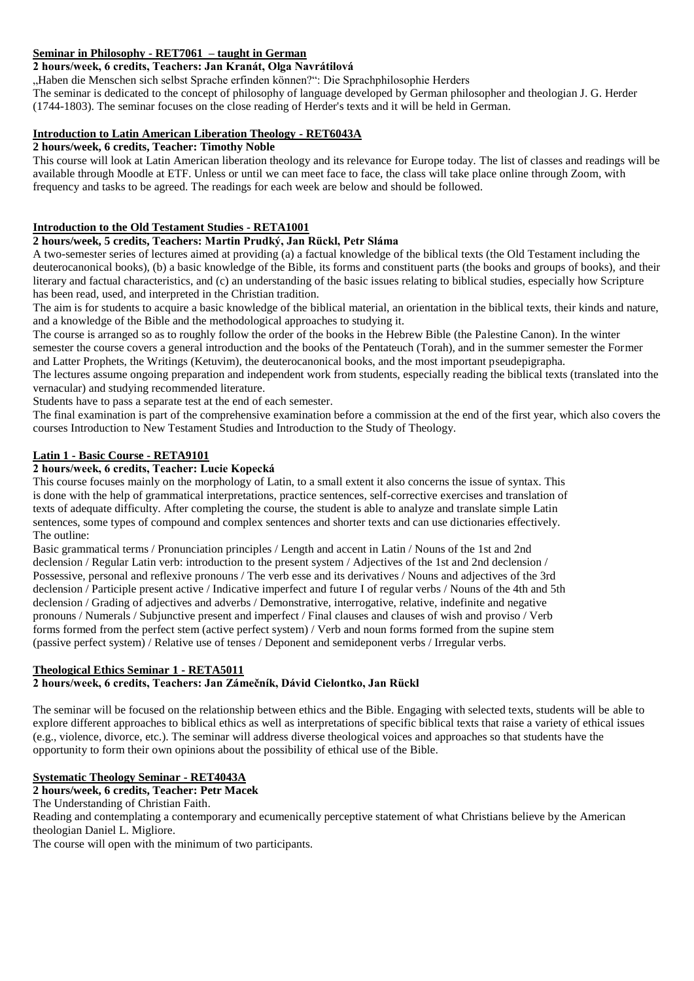# **Seminar in Philosophy - RET7061 – taught in German**

# **2 hours/week, 6 credits, Teachers: Jan Kranát, Olga Navrátilová**

"Haben die Menschen sich selbst Sprache erfinden können?": Die Sprachphilosophie Herders

The seminar is dedicated to the concept of philosophy of language developed by German philosopher and theologian J. G. Herder (1744-1803). The seminar focuses on the close reading of Herder's texts and it will be held in German.

#### **Introduction to Latin American Liberation Theology - RET6043A**

#### **2 hours/week, 6 credits, Teacher: Timothy Noble**

This course will look at Latin American liberation theology and its relevance for Europe today. The list of classes and readings will be available through Moodle at ETF. Unless or until we can meet face to face, the class will take place online through Zoom, with frequency and tasks to be agreed. The readings for each week are below and should be followed.

# **Introduction to the Old Testament Studies - RETA1001**

## **2 hours/week, 5 credits, Teachers: Martin Prudký, Jan Rückl, Petr Sláma**

A two-semester series of lectures aimed at providing (a) a factual knowledge of the biblical texts (the Old Testament including the deuterocanonical books), (b) a basic knowledge of the Bible, its forms and constituent parts (the books and groups of books), and their literary and factual characteristics, and (c) an understanding of the basic issues relating to biblical studies, especially how Scripture has been read, used, and interpreted in the Christian tradition.

The aim is for students to acquire a basic knowledge of the biblical material, an orientation in the biblical texts, their kinds and nature, and a knowledge of the Bible and the methodological approaches to studying it.

The course is arranged so as to roughly follow the order of the books in the Hebrew Bible (the Palestine Canon). In the winter semester the course covers a general introduction and the books of the Pentateuch (Torah), and in the summer semester the Former and Latter Prophets, the Writings (Ketuvim), the deuterocanonical books, and the most important pseudepigrapha.

The lectures assume ongoing preparation and independent work from students, especially reading the biblical texts (translated into the vernacular) and studying recommended literature.

Students have to pass a separate test at the end of each semester.

The final examination is part of the comprehensive examination before a commission at the end of the first year, which also covers the courses Introduction to New Testament Studies and Introduction to the Study of Theology.

# **Latin 1 - Basic Course - RETA9101**

# **2 hours/week, 6 credits, Teacher: Lucie Kopecká**

This course focuses mainly on the morphology of Latin, to a small extent it also concerns the issue of syntax. This is done with the help of grammatical interpretations, practice sentences, self-corrective exercises and translation of texts of adequate difficulty. After completing the course, the student is able to analyze and translate simple Latin sentences, some types of compound and complex sentences and shorter texts and can use dictionaries effectively. The outline:

Basic grammatical terms / Pronunciation principles / Length and accent in Latin / Nouns of the 1st and 2nd declension / Regular Latin verb: introduction to the present system / Adjectives of the 1st and 2nd declension / Possessive, personal and reflexive pronouns / The verb esse and its derivatives / Nouns and adjectives of the 3rd declension / Participle present active / Indicative imperfect and future I of regular verbs / Nouns of the 4th and 5th declension / Grading of adjectives and adverbs / Demonstrative, interrogative, relative, indefinite and negative pronouns / Numerals / Subjunctive present and imperfect / Final clauses and clauses of wish and proviso / Verb forms formed from the perfect stem (active perfect system) / Verb and noun forms formed from the supine stem (passive perfect system) / Relative use of tenses / Deponent and semideponent verbs / Irregular verbs.

## **Theological Ethics Seminar 1 - RETA5011**

# **2 hours/week, 6 credits, Teachers: Jan Zámečník, Dávid Cielontko, Jan Rückl**

The seminar will be focused on the relationship between ethics and the Bible. Engaging with selected texts, students will be able to explore different approaches to biblical ethics as well as interpretations of specific biblical texts that raise a variety of ethical issues (e.g., violence, divorce, etc.). The seminar will address diverse theological voices and approaches so that students have the opportunity to form their own opinions about the possibility of ethical use of the Bible.

# **Systematic Theology Seminar - RET4043A**

**2 hours/week, 6 credits, Teacher: Petr Macek**

The Understanding of Christian Faith.

Reading and contemplating a contemporary and ecumenically perceptive statement of what Christians believe by the American theologian Daniel L. Migliore.

The course will open with the minimum of two participants.